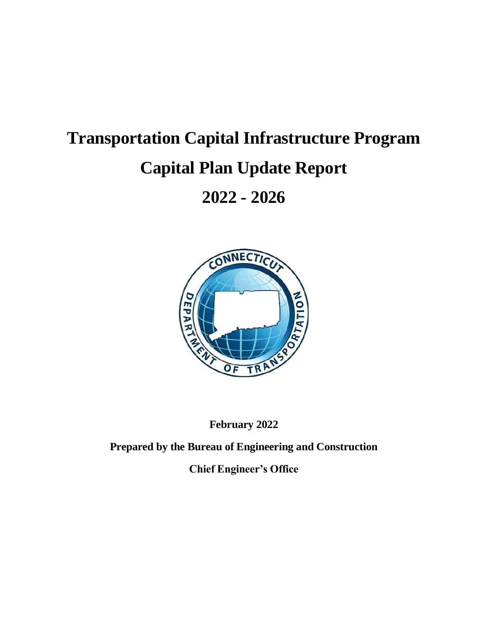# **Transportation Capital Infrastructure Program Capital Plan Update Report**

**2022 - 2026**



**February 2022**

**Prepared by the Bureau of Engineering and Construction**

**Chief Engineer's Office**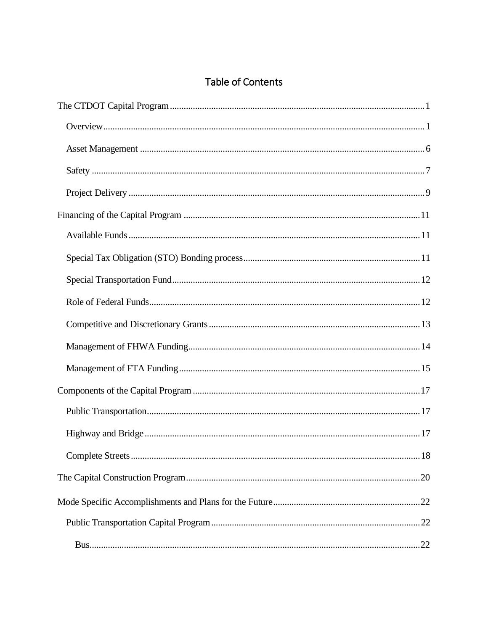# Table of Contents

| 18 |
|----|
|    |
|    |
|    |
|    |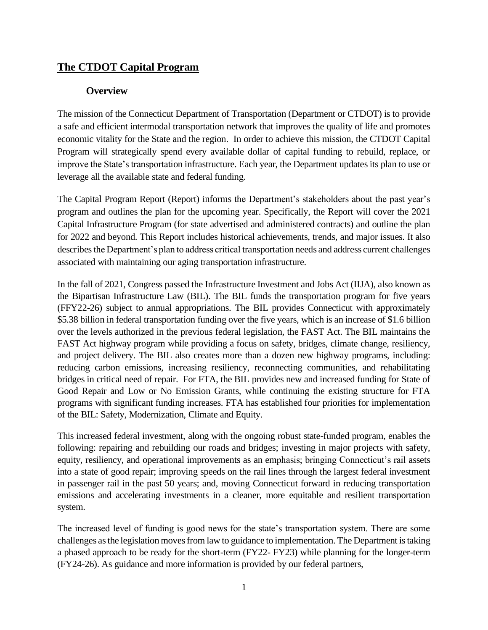## <span id="page-3-0"></span>**The CTDOT Capital Program**

#### **Overview**

<span id="page-3-1"></span>The mission of the Connecticut Department of Transportation (Department or CTDOT) is to provide a safe and efficient intermodal transportation network that improves the quality of life and promotes economic vitality for the State and the region. In order to achieve this mission, the CTDOT Capital Program will strategically spend every available dollar of capital funding to rebuild, replace, or improve the State's transportation infrastructure. Each year, the Department updates its plan to use or leverage all the available state and federal funding.

The Capital Program Report (Report) informs the Department's stakeholders about the past year's program and outlines the plan for the upcoming year. Specifically, the Report will cover the 2021 Capital Infrastructure Program (for state advertised and administered contracts) and outline the plan for 2022 and beyond. This Report includes historical achievements, trends, and major issues. It also describes the Department's plan to address critical transportation needs and address current challenges associated with maintaining our aging transportation infrastructure.

In the fall of 2021, Congress passed the Infrastructure Investment and Jobs Act (IIJA), also known as the Bipartisan Infrastructure Law (BIL). The BIL funds the transportation program for five years (FFY22-26) subject to annual appropriations. The BIL provides Connecticut with approximately \$5.38 billion in federal transportation funding over the five years, which is an increase of \$1.6 billion over the levels authorized in the previous federal legislation, the FAST Act. The BIL maintains the FAST Act highway program while providing a focus on safety, bridges, climate change, resiliency, and project delivery. The BIL also creates more than a dozen new highway programs, including: reducing carbon emissions, increasing resiliency, reconnecting communities, and rehabilitating bridges in critical need of repair. For FTA, the BIL provides new and increased funding for State of Good Repair and Low or No Emission Grants, while continuing the existing structure for FTA programs with significant funding increases. FTA has established four priorities for implementation of the BIL: Safety, Modernization, Climate and Equity.

This increased federal investment, along with the ongoing robust state-funded program, enables the following: repairing and rebuilding our roads and bridges; investing in major projects with safety, equity, resiliency, and operational improvements as an emphasis; bringing Connecticut's rail assets into a state of good repair; improving speeds on the rail lines through the largest federal investment in passenger rail in the past 50 years; and, moving Connecticut forward in reducing transportation emissions and accelerating investments in a cleaner, more equitable and resilient transportation system.

The increased level of funding is good news for the state's transportation system. There are some challenges as the legislation moves from law to guidance to implementation. The Department is taking a phased approach to be ready for the short-term (FY22- FY23) while planning for the longer-term (FY24-26). As guidance and more information is provided by our federal partners,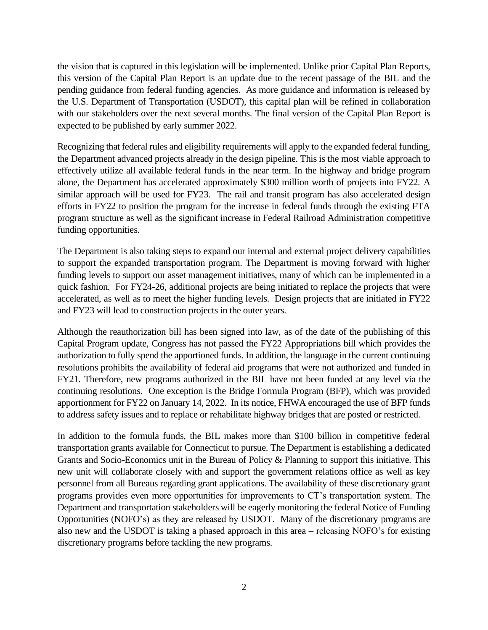the vision that is captured in this legislation will be implemented. Unlike prior Capital Plan Reports, this version of the Capital Plan Report is an update due to the recent passage of the BIL and the pending guidance from federal funding agencies. As more guidance and information is released by the U.S. Department of Transportation (USDOT), this capital plan will be refined in collaboration with our stakeholders over the next several months. The final version of the Capital Plan Report is expected to be published by early summer 2022.

Recognizing that federal rules and eligibility requirements will apply to the expanded federal funding, the Department advanced projects already in the design pipeline. This is the most viable approach to effectively utilize all available federal funds in the near term. In the highway and bridge program alone, the Department has accelerated approximately \$300 million worth of projects into FY22. A similar approach will be used for FY23. The rail and transit program has also accelerated design efforts in FY22 to position the program for the increase in federal funds through the existing FTA program structure as well as the significant increase in Federal Railroad Administration competitive funding opportunities.

The Department is also taking steps to expand our internal and external project delivery capabilities to support the expanded transportation program. The Department is moving forward with higher funding levels to support our asset management initiatives, many of which can be implemented in a quick fashion. For FY24-26, additional projects are being initiated to replace the projects that were accelerated, as well as to meet the higher funding levels. Design projects that are initiated in FY22 and FY23 will lead to construction projects in the outer years.

Although the reauthorization bill has been signed into law, as of the date of the publishing of this Capital Program update, Congress has not passed the FY22 Appropriations bill which provides the authorization to fully spend the apportioned funds. In addition, the language in the current continuing resolutions prohibits the availability of federal aid programs that were not authorized and funded in FY21. Therefore, new programs authorized in the BIL have not been funded at any level via the continuing resolutions. One exception is the Bridge Formula Program (BFP), which was provided apportionment for FY22 on January 14, 2022. In its notice, FHWA encouraged the use of BFP funds to address safety issues and to replace or rehabilitate highway bridges that are posted or restricted.

In addition to the formula funds, the BIL makes more than \$100 billion in competitive federal transportation grants available for Connecticut to pursue. The Department is establishing a dedicated Grants and Socio-Economics unit in the Bureau of Policy & Planning to support this initiative. This new unit will collaborate closely with and support the government relations office as well as key personnel from all Bureaus regarding grant applications. The availability of these discretionary grant programs provides even more opportunities for improvements to CT's transportation system. The Department and transportation stakeholders will be eagerly monitoring the federal Notice of Funding Opportunities (NOFO's) as they are released by USDOT. Many of the discretionary programs are also new and the USDOT is taking a phased approach in this area – releasing NOFO's for existing discretionary programs before tackling the new programs.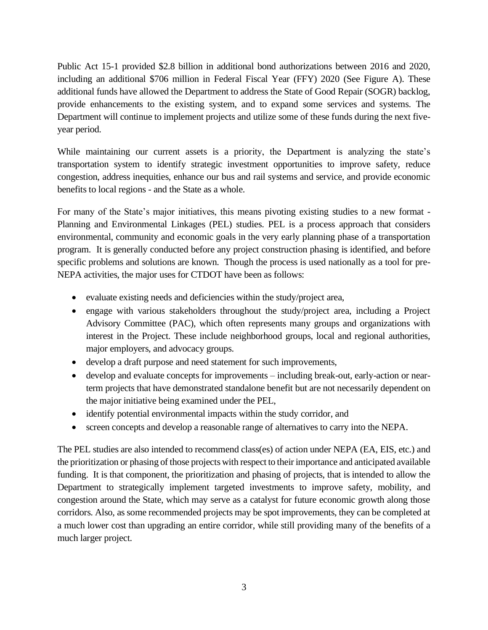Public Act 15-1 provided \$2.8 billion in additional bond authorizations between 2016 and 2020, including an additional \$706 million in Federal Fiscal Year (FFY) 2020 (See Figure A). These additional funds have allowed the Department to address the State of Good Repair (SOGR) backlog, provide enhancements to the existing system, and to expand some services and systems. The Department will continue to implement projects and utilize some of these funds during the next fiveyear period.

While maintaining our current assets is a priority, the Department is analyzing the state's transportation system to identify strategic investment opportunities to improve safety, reduce congestion, address inequities, enhance our bus and rail systems and service, and provide economic benefits to local regions - and the State as a whole.

For many of the State's major initiatives, this means pivoting existing studies to a new format - Planning and Environmental Linkages (PEL) studies. PEL is a process approach that considers environmental, community and economic goals in the very early planning phase of a transportation program. It is generally conducted before any project construction phasing is identified, and before specific problems and solutions are known. Though the process is used nationally as a tool for pre-NEPA activities, the major uses for CTDOT have been as follows:

- evaluate existing needs and deficiencies within the study/project area,
- engage with various stakeholders throughout the study/project area, including a Project Advisory Committee (PAC), which often represents many groups and organizations with interest in the Project. These include neighborhood groups, local and regional authorities, major employers, and advocacy groups.
- develop a draft purpose and need statement for such improvements,
- develop and evaluate concepts for improvements including break-out, early-action or nearterm projects that have demonstrated standalone benefit but are not necessarily dependent on the major initiative being examined under the PEL,
- identify potential environmental impacts within the study corridor, and
- screen concepts and develop a reasonable range of alternatives to carry into the NEPA.

The PEL studies are also intended to recommend class(es) of action under NEPA (EA, EIS, etc.) and the prioritization or phasing of those projects with respect to their importance and anticipated available funding. It is that component, the prioritization and phasing of projects, that is intended to allow the Department to strategically implement targeted investments to improve safety, mobility, and congestion around the State, which may serve as a catalyst for future economic growth along those corridors. Also, as some recommended projects may be spot improvements, they can be completed at a much lower cost than upgrading an entire corridor, while still providing many of the benefits of a much larger project.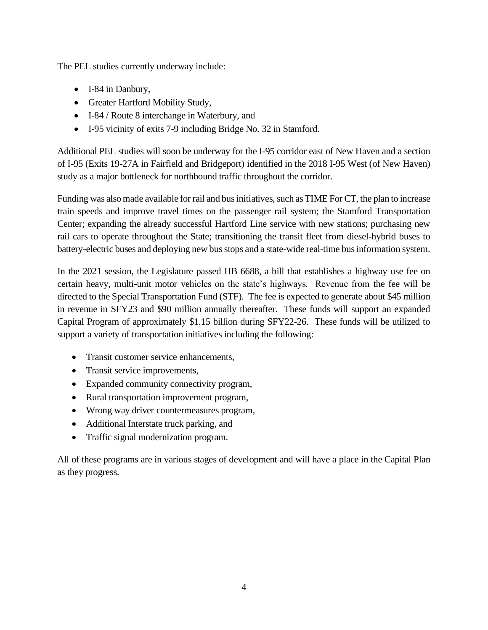The PEL studies currently underway include:

- I-84 in Danbury,
- Greater Hartford Mobility Study,
- I-84 / Route 8 interchange in Waterbury, and
- I-95 vicinity of exits 7-9 including Bridge No. 32 in Stamford.

Additional PEL studies will soon be underway for the I-95 corridor east of New Haven and a section of I-95 (Exits 19-27A in Fairfield and Bridgeport) identified in the 2018 I-95 West (of New Haven) study as a major bottleneck for northbound traffic throughout the corridor.

Funding was also made available for rail and bus initiatives, such as TIME For CT, the plan to increase train speeds and improve travel times on the passenger rail system; the Stamford Transportation Center; expanding the already successful Hartford Line service with new stations; purchasing new rail cars to operate throughout the State; transitioning the transit fleet from diesel-hybrid buses to battery-electric buses and deploying new bus stops and a state-wide real-time bus information system.

In the 2021 session, the Legislature passed HB 6688, a bill that establishes a highway use fee on certain heavy, multi-unit motor vehicles on the state's highways. Revenue from the fee will be directed to the Special Transportation Fund (STF). The fee is expected to generate about \$45 million in revenue in SFY23 and \$90 million annually thereafter. These funds will support an expanded Capital Program of approximately \$1.15 billion during SFY22-26. These funds will be utilized to support a variety of transportation initiatives including the following:

- Transit customer service enhancements,
- Transit service improvements,
- Expanded community connectivity program,
- Rural transportation improvement program,
- Wrong way driver countermeasures program,
- Additional Interstate truck parking, and
- Traffic signal modernization program.

All of these programs are in various stages of development and will have a place in the Capital Plan as they progress.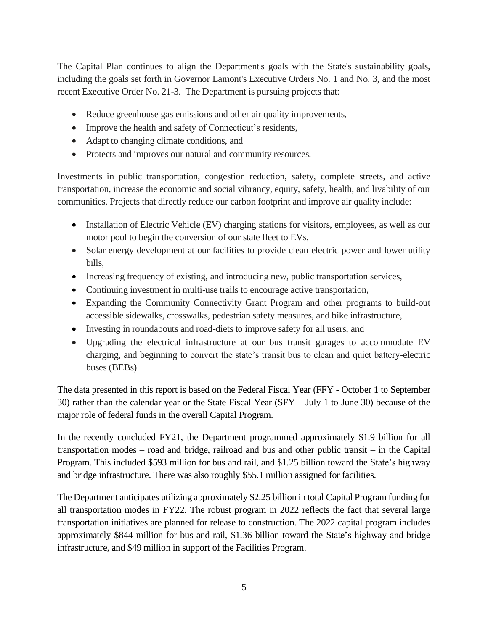The Capital Plan continues to align the Department's goals with the State's sustainability goals, including the goals set forth in Governor Lamont's Executive Orders No. 1 and No. 3, and the most recent Executive Order No. 21-3. The Department is pursuing projects that:

- Reduce greenhouse gas emissions and other air quality improvements,
- Improve the health and safety of Connecticut's residents,
- Adapt to changing climate conditions, and
- Protects and improves our natural and community resources.

Investments in public transportation, congestion reduction, safety, complete streets, and active transportation, increase the economic and social vibrancy, equity, safety, health, and livability of our communities. Projects that directly reduce our carbon footprint and improve air quality include:

- Installation of Electric Vehicle (EV) charging stations for visitors, employees, as well as our motor pool to begin the conversion of our state fleet to EVs,
- Solar energy development at our facilities to provide clean electric power and lower utility bills,
- Increasing frequency of existing, and introducing new, public transportation services,
- Continuing investment in multi-use trails to encourage active transportation,
- Expanding the Community Connectivity Grant Program and other programs to build-out accessible sidewalks, crosswalks, pedestrian safety measures, and bike infrastructure,
- Investing in roundabouts and road-diets to improve safety for all users, and
- Upgrading the electrical infrastructure at our bus transit garages to accommodate EV charging, and beginning to convert the state's transit bus to clean and quiet battery-electric buses (BEBs).

The data presented in this report is based on the Federal Fiscal Year (FFY - October 1 to September 30) rather than the calendar year or the State Fiscal Year (SFY – July 1 to June 30) because of the major role of federal funds in the overall Capital Program.

In the recently concluded FY21, the Department programmed approximately \$1.9 billion for all transportation modes – road and bridge, railroad and bus and other public transit – in the Capital Program. This included \$593 million for bus and rail, and \$1.25 billion toward the State's highway and bridge infrastructure. There was also roughly \$55.1 million assigned for facilities.

The Department anticipates utilizing approximately \$2.25 billion in total Capital Program funding for all transportation modes in FY22. The robust program in 2022 reflects the fact that several large transportation initiatives are planned for release to construction. The 2022 capital program includes approximately \$844 million for bus and rail, \$1.36 billion toward the State's highway and bridge infrastructure, and \$49 million in support of the Facilities Program.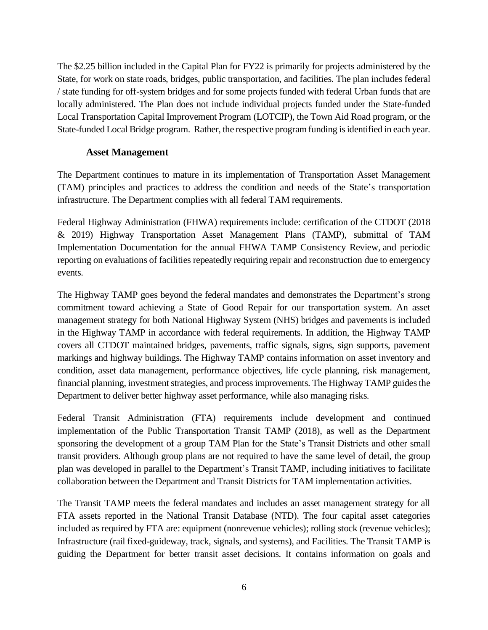The \$2.25 billion included in the Capital Plan for FY22 is primarily for projects administered by the State, for work on state roads, bridges, public transportation, and facilities. The plan includes federal / state funding for off-system bridges and for some projects funded with federal Urban funds that are locally administered. The Plan does not include individual projects funded under the State-funded Local Transportation Capital Improvement Program (LOTCIP), the Town Aid Road program, or the State-funded Local Bridge program. Rather, the respective program funding is identified in each year.

#### **Asset Management**

<span id="page-8-0"></span>The Department continues to mature in its implementation of Transportation Asset Management (TAM) principles and practices to address the condition and needs of the State's transportation infrastructure. The Department complies with all federal TAM requirements.

Federal Highway Administration (FHWA) requirements include: certification of the CTDOT (2018 & 2019) Highway Transportation Asset Management Plans (TAMP), submittal of TAM Implementation Documentation for the annual FHWA TAMP Consistency Review, and periodic reporting on evaluations of facilities repeatedly requiring repair and reconstruction due to emergency events.

The Highway TAMP goes beyond the federal mandates and demonstrates the Department's strong commitment toward achieving a State of Good Repair for our transportation system. An asset management strategy for both National Highway System (NHS) bridges and pavements is included in the Highway TAMP in accordance with federal requirements. In addition, the Highway TAMP covers all CTDOT maintained bridges, pavements, traffic signals, signs, sign supports, pavement markings and highway buildings. The Highway TAMP contains information on asset inventory and condition, asset data management, performance objectives, life cycle planning, risk management, financial planning, investment strategies, and process improvements. The Highway TAMP guides the Department to deliver better highway asset performance, while also managing risks.

Federal Transit Administration (FTA) requirements include development and continued implementation of the Public Transportation Transit TAMP (2018), as well as the Department sponsoring the development of a group TAM Plan for the State's Transit Districts and other small transit providers. Although group plans are not required to have the same level of detail, the group plan was developed in parallel to the Department's Transit TAMP, including initiatives to facilitate collaboration between the Department and Transit Districts for TAM implementation activities.

The Transit TAMP meets the federal mandates and includes an asset management strategy for all FTA assets reported in the National Transit Database (NTD). The four capital asset categories included as required by FTA are: equipment (nonrevenue vehicles); rolling stock (revenue vehicles); Infrastructure (rail fixed-guideway, track, signals, and systems), and Facilities. The Transit TAMP is guiding the Department for better transit asset decisions. It contains information on goals and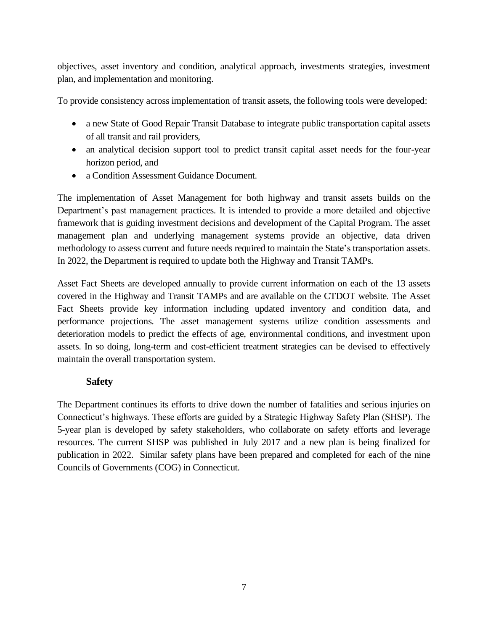objectives, asset inventory and condition, analytical approach, investments strategies, investment plan, and implementation and monitoring.

To provide consistency across implementation of transit assets, the following tools were developed:

- a new State of Good Repair Transit Database to integrate public transportation capital assets of all transit and rail providers,
- an analytical decision support tool to predict transit capital asset needs for the four-year horizon period, and
- a Condition Assessment Guidance Document.

The implementation of Asset Management for both highway and transit assets builds on the Department's past management practices. It is intended to provide a more detailed and objective framework that is guiding investment decisions and development of the Capital Program. The asset management plan and underlying management systems provide an objective, data driven methodology to assess current and future needs required to maintain the State's transportation assets. In 2022, the Department is required to update both the Highway and Transit TAMPs.

Asset Fact Sheets are developed annually to provide current information on each of the 13 assets covered in the Highway and Transit TAMPs and are available on the CTDOT website. The Asset Fact Sheets provide key information including updated inventory and condition data, and performance projections. The asset management systems utilize condition assessments and deterioration models to predict the effects of age, environmental conditions, and investment upon assets. In so doing, long-term and cost-efficient treatment strategies can be devised to effectively maintain the overall transportation system.

#### **Safety**

<span id="page-9-0"></span>The Department continues its efforts to drive down the number of fatalities and serious injuries on Connecticut's highways. These efforts are guided by a Strategic Highway Safety Plan (SHSP). The 5-year plan is developed by safety stakeholders, who collaborate on safety efforts and leverage resources. The current SHSP was published in July 2017 and a new plan is being finalized for publication in 2022. Similar safety plans have been prepared and completed for each of the nine Councils of Governments (COG) in Connecticut.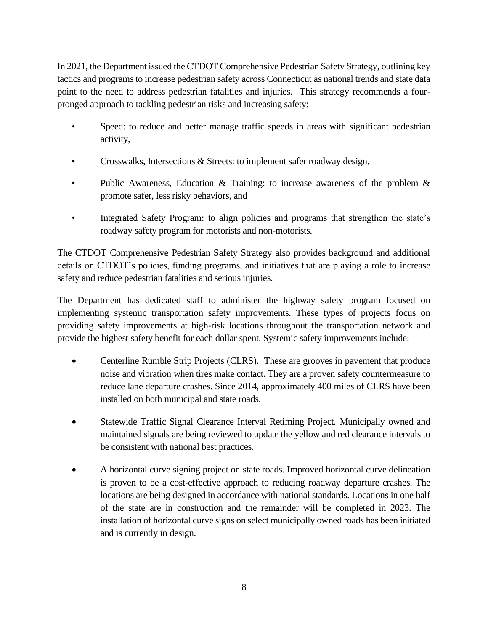In 2021, the Department issued the CTDOT Comprehensive Pedestrian Safety Strategy, outlining key tactics and programs to increase pedestrian safety across Connecticut as national trends and state data point to the need to address pedestrian fatalities and injuries. This strategy recommends a fourpronged approach to tackling pedestrian risks and increasing safety:

- Speed: to reduce and better manage traffic speeds in areas with significant pedestrian activity,
- Crosswalks, Intersections & Streets: to implement safer roadway design,
- Public Awareness, Education & Training: to increase awareness of the problem & promote safer, less risky behaviors, and
- Integrated Safety Program: to align policies and programs that strengthen the state's roadway safety program for motorists and non-motorists.

The CTDOT Comprehensive Pedestrian Safety Strategy also provides background and additional details on CTDOT's policies, funding programs, and initiatives that are playing a role to increase safety and reduce pedestrian fatalities and serious injuries.

The Department has dedicated staff to administer the highway safety program focused on implementing systemic transportation safety improvements. These types of projects focus on providing safety improvements at high-risk locations throughout the transportation network and provide the highest safety benefit for each dollar spent. Systemic safety improvements include:

- Centerline Rumble Strip Projects (CLRS). These are grooves in pavement that produce noise and vibration when tires make contact. They are a proven safety countermeasure to reduce lane departure crashes. Since 2014, approximately 400 miles of CLRS have been installed on both municipal and state roads.
- Statewide Traffic Signal Clearance Interval Retiming Project. Municipally owned and maintained signals are being reviewed to update the yellow and red clearance intervals to be consistent with national best practices.
- A horizontal curve signing project on state roads. Improved horizontal curve delineation is proven to be a cost-effective approach to reducing roadway departure crashes. The locations are being designed in accordance with national standards. Locations in one half of the state are in construction and the remainder will be completed in 2023. The installation of horizontal curve signs on select municipally owned roads has been initiated and is currently in design.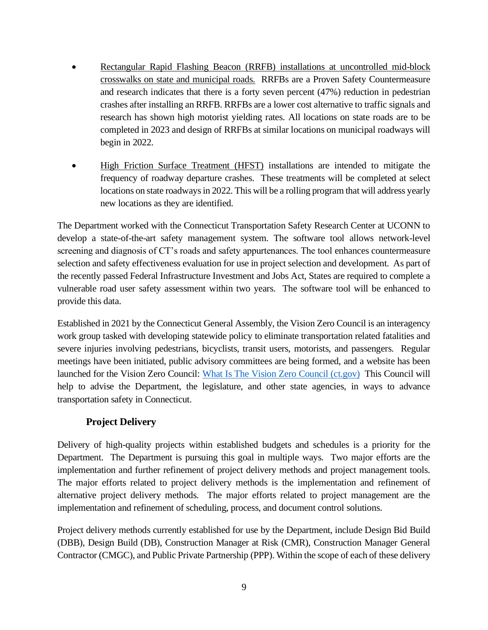- Rectangular Rapid Flashing Beacon (RRFB) installations at uncontrolled mid-block crosswalks on state and municipal roads. RRFBs are a Proven Safety Countermeasure and research indicates that there is a forty seven percent (47%) reduction in pedestrian crashes after installing an RRFB. RRFBs are a lower cost alternative to traffic signals and research has shown high motorist yielding rates. All locations on state roads are to be completed in 2023 and design of RRFBs at similar locations on municipal roadways will begin in 2022.
- High Friction Surface Treatment (HFST) installations are intended to mitigate the frequency of roadway departure crashes. These treatments will be completed at select locations on state roadways in 2022. This will be a rolling program that will address yearly new locations as they are identified.

The Department worked with the Connecticut Transportation Safety Research Center at UCONN to develop a state-of-the-art safety management system. The software tool allows network-level screening and diagnosis of CT's roads and safety appurtenances. The tool enhances countermeasure selection and safety effectiveness evaluation for use in project selection and development. As part of the recently passed Federal Infrastructure Investment and Jobs Act, States are required to complete a vulnerable road user safety assessment within two years. The software tool will be enhanced to provide this data.

Established in 2021 by the Connecticut General Assembly, the Vision Zero Council is an interagency work group tasked with developing statewide policy to eliminate transportation related fatalities and severe injuries involving pedestrians, bicyclists, transit users, motorists, and passengers. Regular meetings have been initiated, public advisory committees are being formed, and a website has been launched for the Vision Zero Council: [What Is The Vision Zero Council \(ct.gov\)](https://portal.ct.gov/DOT/VisionZeroCouncil/WhatIsTheVisionZeroCouncil?utm_medium=email&utm_campaign=CTDOT%20ANNOUNCES%20LAUNCH%20OF%20NEW%20VISION%20ZERO%20COUNCIL%20WEBSITE%20FOR%20TRAFFIC%20SAFETY%20INFORMATION%20AND%20AN%20INVITATION%20FOR%20PUBLIC%20ENGAGEMENT&utm_content=CTDOT%20ANNOUNCES%20LAUNCH%20OF%20NEW%20VISION%20ZERO%20COUNCIL%20WEBSITE%20FOR%20TRAFFIC%20SAFETY%20INFORMATION%20AND%20AN%20INVITATION%20FOR%20PUBLIC%20ENGAGEMENT+CID_37d7d762bb1c8b6b4b7b5bf9ae1f781d&utm_source=DOT%20Campaign%20Monitor&utm_term=Vision%20Zero%20Council) This Council will help to advise the Department, the legislature, and other state agencies, in ways to advance transportation safety in Connecticut.

#### **Project Delivery**

<span id="page-11-0"></span>Delivery of high-quality projects within established budgets and schedules is a priority for the Department. The Department is pursuing this goal in multiple ways. Two major efforts are the implementation and further refinement of project delivery methods and project management tools. The major efforts related to project delivery methods is the implementation and refinement of alternative project delivery methods. The major efforts related to project management are the implementation and refinement of scheduling, process, and document control solutions.

Project delivery methods currently established for use by the Department, include Design Bid Build (DBB), Design Build (DB), Construction Manager at Risk (CMR), Construction Manager General Contractor (CMGC), and Public Private Partnership (PPP). Within the scope of each of these delivery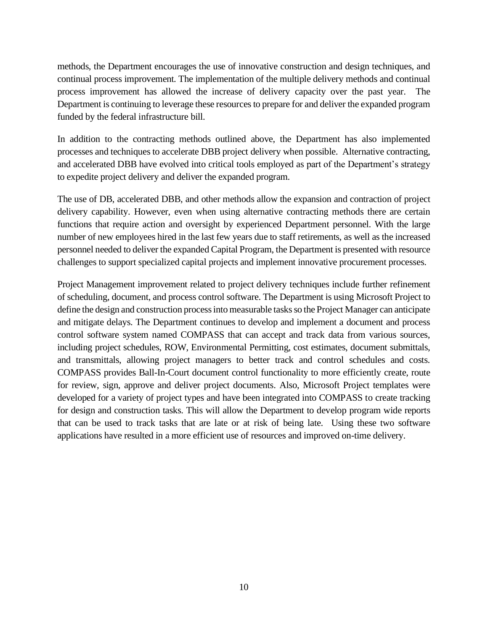methods, the Department encourages the use of innovative construction and design techniques, and continual process improvement. The implementation of the multiple delivery methods and continual process improvement has allowed the increase of delivery capacity over the past year. The Department is continuing to leverage these resources to prepare for and deliver the expanded program funded by the federal infrastructure bill.

In addition to the contracting methods outlined above, the Department has also implemented processes and techniques to accelerate DBB project delivery when possible. Alternative contracting, and accelerated DBB have evolved into critical tools employed as part of the Department's strategy to expedite project delivery and deliver the expanded program.

The use of DB, accelerated DBB, and other methods allow the expansion and contraction of project delivery capability. However, even when using alternative contracting methods there are certain functions that require action and oversight by experienced Department personnel. With the large number of new employees hired in the last few years due to staff retirements, as well as the increased personnel needed to deliver the expanded Capital Program, the Department is presented with resource challenges to support specialized capital projects and implement innovative procurement processes.

Project Management improvement related to project delivery techniques include further refinement of scheduling, document, and process control software. The Department is using Microsoft Project to define the design and construction process into measurable tasks so the Project Manager can anticipate and mitigate delays. The Department continues to develop and implement a document and process control software system named COMPASS that can accept and track data from various sources, including project schedules, ROW, Environmental Permitting, cost estimates, document submittals, and transmittals, allowing project managers to better track and control schedules and costs. COMPASS provides Ball-In-Court document control functionality to more efficiently create, route for review, sign, approve and deliver project documents. Also, Microsoft Project templates were developed for a variety of project types and have been integrated into COMPASS to create tracking for design and construction tasks. This will allow the Department to develop program wide reports that can be used to track tasks that are late or at risk of being late. Using these two software applications have resulted in a more efficient use of resources and improved on-time delivery.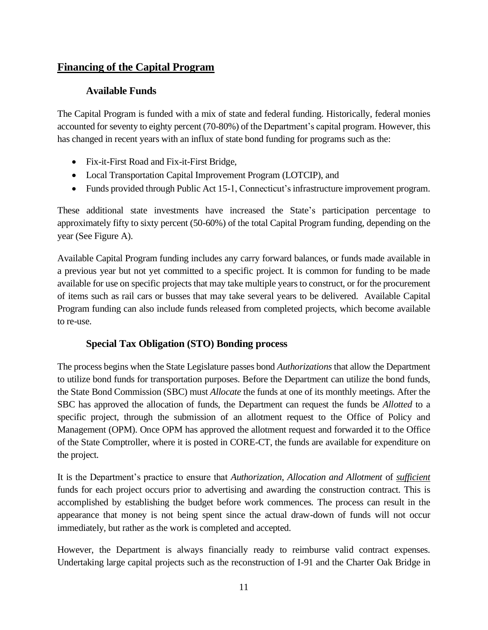## <span id="page-13-0"></span>**Financing of the Capital Program**

#### **Available Funds**

<span id="page-13-1"></span>The Capital Program is funded with a mix of state and federal funding. Historically, federal monies accounted for seventy to eighty percent (70-80%) of the Department's capital program. However, this has changed in recent years with an influx of state bond funding for programs such as the:

- Fix-it-First Road and Fix-it-First Bridge,
- Local Transportation Capital Improvement Program (LOTCIP), and
- Funds provided through Public Act 15-1, Connecticut's infrastructure improvement program.

These additional state investments have increased the State's participation percentage to approximately fifty to sixty percent (50-60%) of the total Capital Program funding, depending on the year (See Figure A).

Available Capital Program funding includes any carry forward balances, or funds made available in a previous year but not yet committed to a specific project. It is common for funding to be made available for use on specific projects that may take multiple years to construct, or for the procurement of items such as rail cars or busses that may take several years to be delivered. Available Capital Program funding can also include funds released from completed projects, which become available to re-use.

#### **Special Tax Obligation (STO) Bonding process**

<span id="page-13-2"></span>The process begins when the State Legislature passes bond *Authorizations* that allow the Department to utilize bond funds for transportation purposes. Before the Department can utilize the bond funds, the State Bond Commission (SBC) must *Allocate* the funds at one of its monthly meetings. After the SBC has approved the allocation of funds, the Department can request the funds be *Allotted* to a specific project, through the submission of an allotment request to the Office of Policy and Management (OPM). Once OPM has approved the allotment request and forwarded it to the Office of the State Comptroller, where it is posted in CORE-CT, the funds are available for expenditure on the project.

It is the Department's practice to ensure that *Authorization, Allocation and Allotment* of *sufficient* funds for each project occurs prior to advertising and awarding the construction contract. This is accomplished by establishing the budget before work commences. The process can result in the appearance that money is not being spent since the actual draw-down of funds will not occur immediately, but rather as the work is completed and accepted.

However, the Department is always financially ready to reimburse valid contract expenses. Undertaking large capital projects such as the reconstruction of I-91 and the Charter Oak Bridge in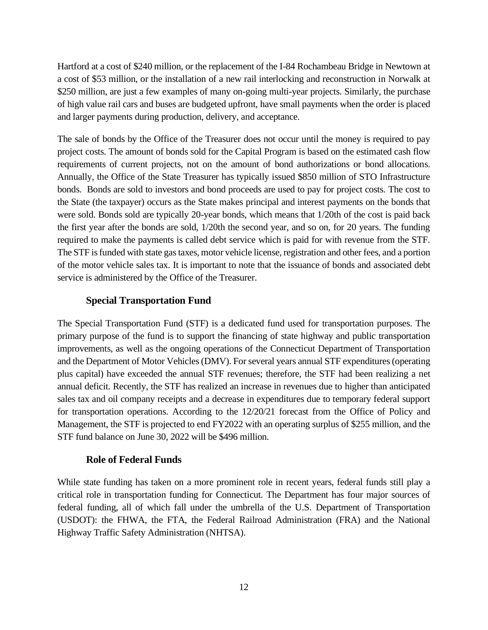Hartford at a cost of \$240 million, or the replacement of the I-84 Rochambeau Bridge in Newtown at a cost of \$53 million, or the installation of a new rail interlocking and reconstruction in Norwalk at \$250 million, are just a few examples of many on-going multi-year projects. Similarly, the purchase of high value rail cars and buses are budgeted upfront, have small payments when the order is placed and larger payments during production, delivery, and acceptance.

The sale of bonds by the Office of the Treasurer does not occur until the money is required to pay project costs. The amount of bonds sold for the Capital Program is based on the estimated cash flow requirements of current projects, not on the amount of bond authorizations or bond allocations. Annually, the Office of the State Treasurer has typically issued \$850 million of STO Infrastructure bonds. Bonds are sold to investors and bond proceeds are used to pay for project costs. The cost to the State (the taxpayer) occurs as the State makes principal and interest payments on the bonds that were sold. Bonds sold are typically 20-year bonds, which means that 1/20th of the cost is paid back the first year after the bonds are sold, 1/20th the second year, and so on, for 20 years. The funding required to make the payments is called debt service which is paid for with revenue from the STF. The STF is funded with state gas taxes, motor vehicle license, registration and other fees, and a portion of the motor vehicle sales tax. It is important to note that the issuance of bonds and associated debt service is administered by the Office of the Treasurer.

#### **Special Transportation Fund**

<span id="page-14-0"></span>The Special Transportation Fund (STF) is a dedicated fund used for transportation purposes. The primary purpose of the fund is to support the financing of state highway and public transportation improvements, as well as the ongoing operations of the Connecticut Department of Transportation and the Department of Motor Vehicles (DMV). For several years annual STF expenditures (operating plus capital) have exceeded the annual STF revenues; therefore, the STF had been realizing a net annual deficit. Recently, the STF has realized an increase in revenues due to higher than anticipated sales tax and oil company receipts and a decrease in expenditures due to temporary federal support for transportation operations. According to the 12/20/21 forecast from the Office of Policy and Management, the STF is projected to end FY2022 with an operating surplus of \$255 million, and the STF fund balance on June 30, 2022 will be \$496 million.

#### **Role of Federal Funds**

<span id="page-14-1"></span>While state funding has taken on a more prominent role in recent years, federal funds still play a critical role in transportation funding for Connecticut. The Department has four major sources of federal funding, all of which fall under the umbrella of the U.S. Department of Transportation (USDOT): the FHWA, the FTA, the Federal Railroad Administration (FRA) and the National Highway Traffic Safety Administration (NHTSA).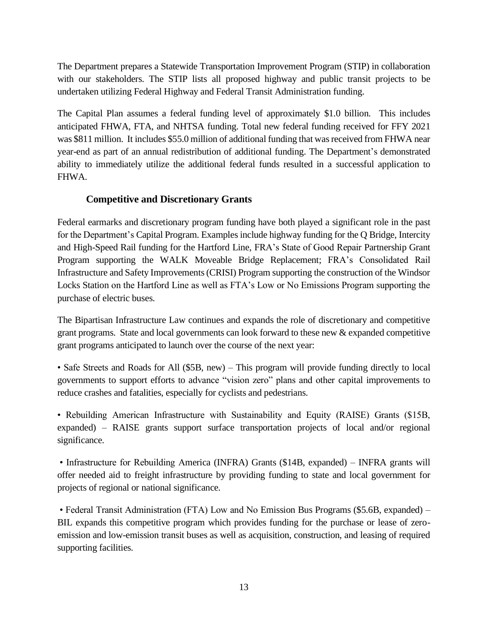The Department prepares a Statewide Transportation Improvement Program (STIP) in collaboration with our stakeholders. The STIP lists all proposed highway and public transit projects to be undertaken utilizing Federal Highway and Federal Transit Administration funding.

The Capital Plan assumes a federal funding level of approximately \$1.0 billion. This includes anticipated FHWA, FTA, and NHTSA funding. Total new federal funding received for FFY 2021 was \$811 million. It includes \$55.0 million of additional funding that was received from FHWA near year-end as part of an annual redistribution of additional funding. The Department's demonstrated ability to immediately utilize the additional federal funds resulted in a successful application to FHWA.

#### **Competitive and Discretionary Grants**

<span id="page-15-0"></span>Federal earmarks and discretionary program funding have both played a significant role in the past for the Department's Capital Program. Examples include highway funding for the Q Bridge, Intercity and High-Speed Rail funding for the Hartford Line, FRA's State of Good Repair Partnership Grant Program supporting the WALK Moveable Bridge Replacement; FRA's Consolidated Rail Infrastructure and Safety Improvements (CRISI) Program supporting the construction of the Windsor Locks Station on the Hartford Line as well as FTA's Low or No Emissions Program supporting the purchase of electric buses.

The Bipartisan Infrastructure Law continues and expands the role of discretionary and competitive grant programs. State and local governments can look forward to these new & expanded competitive grant programs anticipated to launch over the course of the next year:

• Safe Streets and Roads for All (\$5B, new) – This program will provide funding directly to local governments to support efforts to advance "vision zero" plans and other capital improvements to reduce crashes and fatalities, especially for cyclists and pedestrians.

• Rebuilding American Infrastructure with Sustainability and Equity (RAISE) Grants (\$15B, expanded) – RAISE grants support surface transportation projects of local and/or regional significance.

• Infrastructure for Rebuilding America (INFRA) Grants (\$14B, expanded) – INFRA grants will offer needed aid to freight infrastructure by providing funding to state and local government for projects of regional or national significance.

• Federal Transit Administration (FTA) Low and No Emission Bus Programs (\$5.6B, expanded) – BIL expands this competitive program which provides funding for the purchase or lease of zeroemission and low-emission transit buses as well as acquisition, construction, and leasing of required supporting facilities.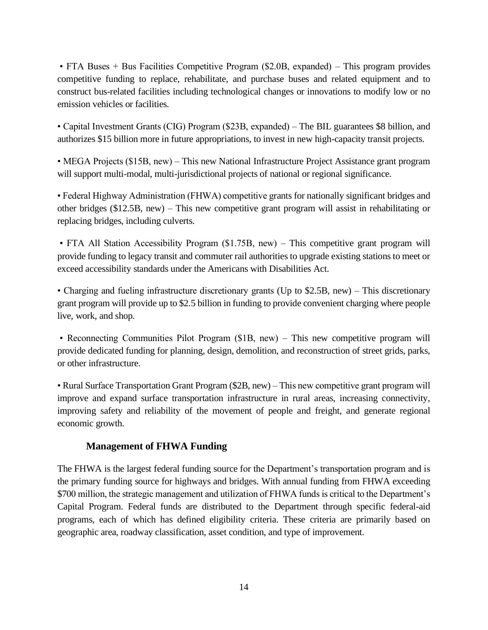• FTA Buses + Bus Facilities Competitive Program (\$2.0B, expanded) – This program provides competitive funding to replace, rehabilitate, and purchase buses and related equipment and to construct bus-related facilities including technological changes or innovations to modify low or no emission vehicles or facilities.

• Capital Investment Grants (CIG) Program (\$23B, expanded) – The BIL guarantees \$8 billion, and authorizes \$15 billion more in future appropriations, to invest in new high-capacity transit projects.

• MEGA Projects (\$15B, new) – This new National Infrastructure Project Assistance grant program will support multi-modal, multi-jurisdictional projects of national or regional significance.

• Federal Highway Administration (FHWA) competitive grants for nationally significant bridges and other bridges (\$12.5B, new) – This new competitive grant program will assist in rehabilitating or replacing bridges, including culverts.

• FTA All Station Accessibility Program (\$1.75B, new) – This competitive grant program will provide funding to legacy transit and commuter rail authorities to upgrade existing stations to meet or exceed accessibility standards under the Americans with Disabilities Act.

• Charging and fueling infrastructure discretionary grants (Up to \$2.5B, new) – This discretionary grant program will provide up to \$2.5 billion in funding to provide convenient charging where people live, work, and shop.

• Reconnecting Communities Pilot Program (\$1B, new) – This new competitive program will provide dedicated funding for planning, design, demolition, and reconstruction of street grids, parks, or other infrastructure.

• Rural Surface Transportation Grant Program (\$2B, new) – This new competitive grant program will improve and expand surface transportation infrastructure in rural areas, increasing connectivity, improving safety and reliability of the movement of people and freight, and generate regional economic growth.

#### **Management of FHWA Funding**

<span id="page-16-0"></span>The FHWA is the largest federal funding source for the Department's transportation program and is the primary funding source for highways and bridges. With annual funding from FHWA exceeding \$700 million, the strategic management and utilization of FHWA funds is critical to the Department's Capital Program. Federal funds are distributed to the Department through specific federal-aid programs, each of which has defined eligibility criteria. These criteria are primarily based on geographic area, roadway classification, asset condition, and type of improvement.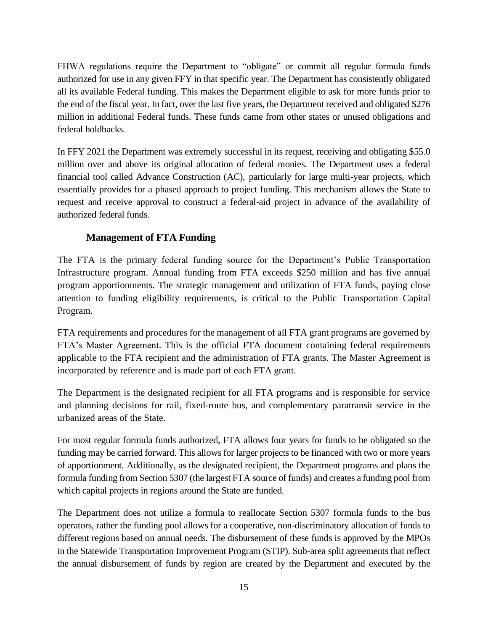FHWA regulations require the Department to "obligate" or commit all regular formula funds authorized for use in any given FFY in that specific year. The Department has consistently obligated all its available Federal funding. This makes the Department eligible to ask for more funds prior to the end of the fiscal year. In fact, over the last five years, the Department received and obligated \$276 million in additional Federal funds. These funds came from other states or unused obligations and federal holdbacks.

In FFY 2021 the Department was extremely successful in its request, receiving and obligating \$55.0 million over and above its original allocation of federal monies. The Department uses a federal financial tool called Advance Construction (AC), particularly for large multi-year projects, which essentially provides for a phased approach to project funding. This mechanism allows the State to request and receive approval to construct a federal-aid project in advance of the availability of authorized federal funds.

#### **Management of FTA Funding**

<span id="page-17-0"></span>The FTA is the primary federal funding source for the Department's Public Transportation Infrastructure program. Annual funding from FTA exceeds \$250 million and has five annual program apportionments. The strategic management and utilization of FTA funds, paying close attention to funding eligibility requirements, is critical to the Public Transportation Capital Program.

FTA requirements and procedures for the management of all FTA grant programs are governed by FTA's Master Agreement. This is the official FTA document containing federal requirements applicable to the FTA recipient and the administration of FTA grants. The Master Agreement is incorporated by reference and is made part of each FTA grant.

The Department is the designated recipient for all FTA programs and is responsible for service and planning decisions for rail, fixed-route bus, and complementary paratransit service in the urbanized areas of the State.

For most regular formula funds authorized, FTA allows four years for funds to be obligated so the funding may be carried forward. This allows for larger projects to be financed with two or more years of apportionment. Additionally, as the designated recipient, the Department programs and plans the formula funding from Section 5307 (the largest FTA source of funds) and creates a funding pool from which capital projects in regions around the State are funded.

The Department does not utilize a formula to reallocate Section 5307 formula funds to the bus operators, rather the funding pool allows for a cooperative, non-discriminatory allocation of funds to different regions based on annual needs. The disbursement of these funds is approved by the MPOs in the Statewide Transportation Improvement Program (STIP). Sub-area split agreements that reflect the annual disbursement of funds by region are created by the Department and executed by the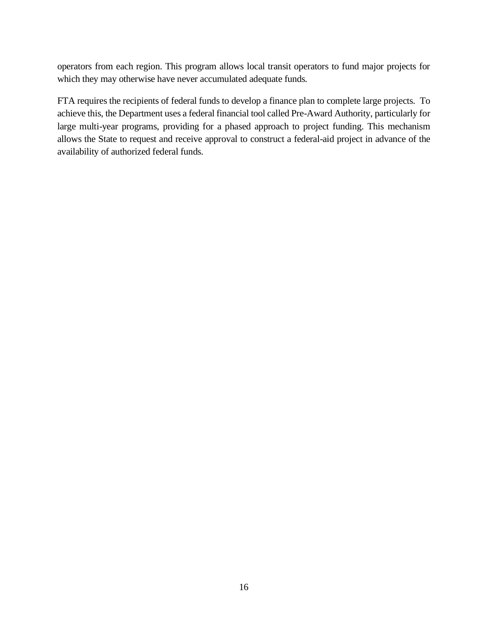operators from each region. This program allows local transit operators to fund major projects for which they may otherwise have never accumulated adequate funds.

FTA requires the recipients of federal funds to develop a finance plan to complete large projects. To achieve this, the Department uses a federal financial tool called Pre-Award Authority, particularly for large multi-year programs, providing for a phased approach to project funding. This mechanism allows the State to request and receive approval to construct a federal-aid project in advance of the availability of authorized federal funds.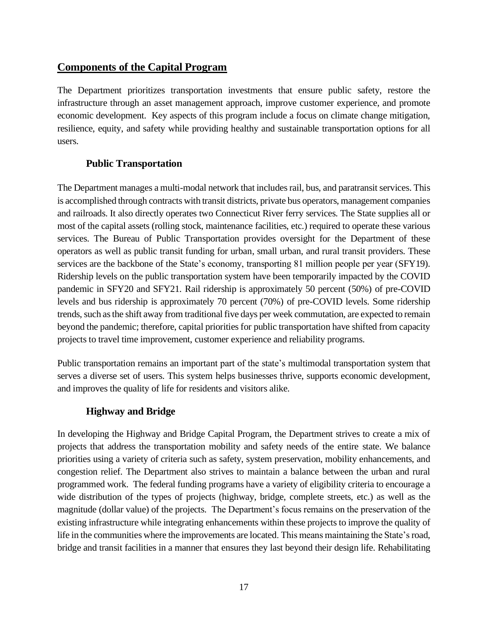## <span id="page-19-0"></span>**Components of the Capital Program**

The Department prioritizes transportation investments that ensure public safety, restore the infrastructure through an asset management approach, improve customer experience, and promote economic development. Key aspects of this program include a focus on climate change mitigation, resilience, equity, and safety while providing healthy and sustainable transportation options for all users.

#### **Public Transportation**

<span id="page-19-1"></span>The Department manages a multi-modal network that includes rail, bus, and paratransit services. This is accomplished through contracts with transit districts, private bus operators, management companies and railroads. It also directly operates two Connecticut River ferry services. The State supplies all or most of the capital assets (rolling stock, maintenance facilities, etc.) required to operate these various services. The Bureau of Public Transportation provides oversight for the Department of these operators as well as public transit funding for urban, small urban, and rural transit providers. These services are the backbone of the State's economy, transporting 81 million people per year (SFY19). Ridership levels on the public transportation system have been temporarily impacted by the COVID pandemic in SFY20 and SFY21. Rail ridership is approximately 50 percent (50%) of pre-COVID levels and bus ridership is approximately 70 percent (70%) of pre-COVID levels. Some ridership trends, such as the shift away from traditional five days per week commutation, are expected to remain beyond the pandemic; therefore, capital priorities for public transportation have shifted from capacity projects to travel time improvement, customer experience and reliability programs.

Public transportation remains an important part of the state's multimodal transportation system that serves a diverse set of users. This system helps businesses thrive, supports economic development, and improves the quality of life for residents and visitors alike.

#### **Highway and Bridge**

<span id="page-19-2"></span>In developing the Highway and Bridge Capital Program, the Department strives to create a mix of projects that address the transportation mobility and safety needs of the entire state. We balance priorities using a variety of criteria such as safety, system preservation, mobility enhancements, and congestion relief. The Department also strives to maintain a balance between the urban and rural programmed work. The federal funding programs have a variety of eligibility criteria to encourage a wide distribution of the types of projects (highway, bridge, complete streets, etc.) as well as the magnitude (dollar value) of the projects. The Department's focus remains on the preservation of the existing infrastructure while integrating enhancements within these projects to improve the quality of life in the communities where the improvements are located. This means maintaining the State's road, bridge and transit facilities in a manner that ensures they last beyond their design life. Rehabilitating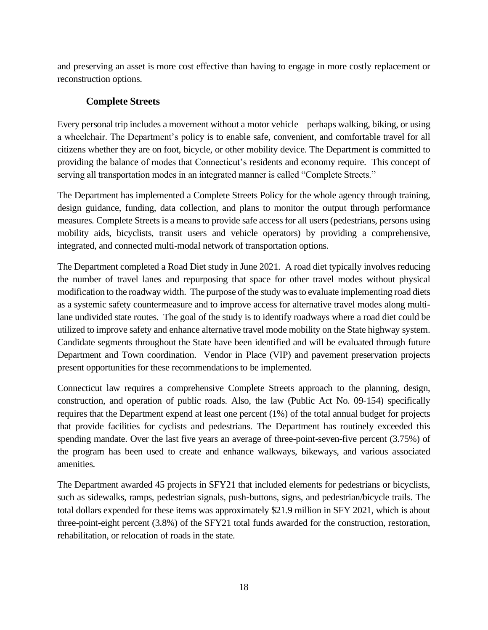and preserving an asset is more cost effective than having to engage in more costly replacement or reconstruction options.

### **Complete Streets**

<span id="page-20-0"></span>Every personal trip includes a movement without a motor vehicle – perhaps walking, biking, or using a wheelchair. The Department's policy is to enable safe, convenient, and comfortable travel for all citizens whether they are on foot, bicycle, or other mobility device. The Department is committed to providing the balance of modes that Connecticut's residents and economy require. This concept of serving all transportation modes in an integrated manner is called "Complete Streets."

The Department has implemented a Complete Streets Policy for the whole agency through training, design guidance, funding, data collection, and plans to monitor the output through performance measures. Complete Streets is a means to provide safe access for all users (pedestrians, persons using mobility aids, bicyclists, transit users and vehicle operators) by providing a comprehensive, integrated, and connected multi-modal network of transportation options.

The Department completed a Road Diet study in June 2021. A road diet typically involves reducing the number of travel lanes and repurposing that space for other travel modes without physical modification to the roadway width. The purpose of the study was to evaluate implementing road diets as a systemic safety countermeasure and to improve access for alternative travel modes along multilane undivided state routes. The goal of the study is to identify roadways where a road diet could be utilized to improve safety and enhance alternative travel mode mobility on the State highway system. Candidate segments throughout the State have been identified and will be evaluated through future Department and Town coordination. Vendor in Place (VIP) and pavement preservation projects present opportunities for these recommendations to be implemented.

Connecticut law requires a comprehensive Complete Streets approach to the planning, design, construction, and operation of public roads. Also, the law (Public Act No. 09‐154) specifically requires that the Department expend at least one percent (1%) of the total annual budget for projects that provide facilities for cyclists and pedestrians. The Department has routinely exceeded this spending mandate. Over the last five years an average of three-point-seven-five percent (3.75%) of the program has been used to create and enhance walkways, bikeways, and various associated amenities.

The Department awarded 45 projects in SFY21 that included elements for pedestrians or bicyclists, such as sidewalks, ramps, pedestrian signals, push‐buttons, signs, and pedestrian/bicycle trails. The total dollars expended for these items was approximately \$21.9 million in SFY 2021, which is about three-point-eight percent (3.8%) of the SFY21 total funds awarded for the construction, restoration, rehabilitation, or relocation of roads in the state.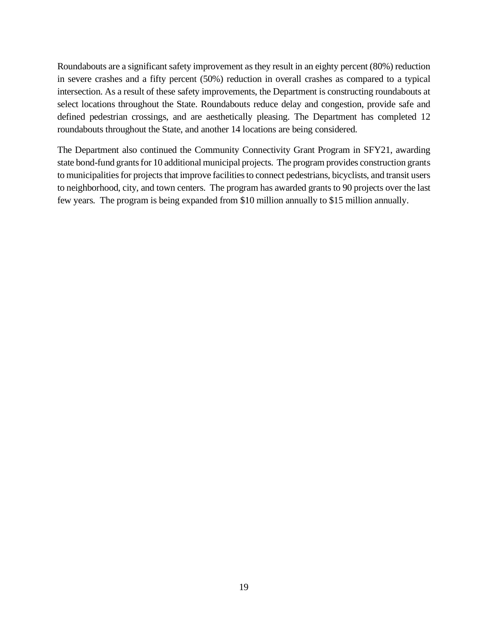Roundabouts are a significant safety improvement as they result in an eighty percent (80%) reduction in severe crashes and a fifty percent (50%) reduction in overall crashes as compared to a typical intersection. As a result of these safety improvements, the Department is constructing roundabouts at select locations throughout the State. Roundabouts reduce delay and congestion, provide safe and defined pedestrian crossings, and are aesthetically pleasing. The Department has completed 12 roundabouts throughout the State, and another 14 locations are being considered.

The Department also continued the Community Connectivity Grant Program in SFY21, awarding state bond-fund grants for 10 additional municipal projects. The program provides construction grants to municipalities for projects that improve facilities to connect pedestrians, bicyclists, and transit users to neighborhood, city, and town centers. The program has awarded grants to 90 projects over the last few years. The program is being expanded from \$10 million annually to \$15 million annually.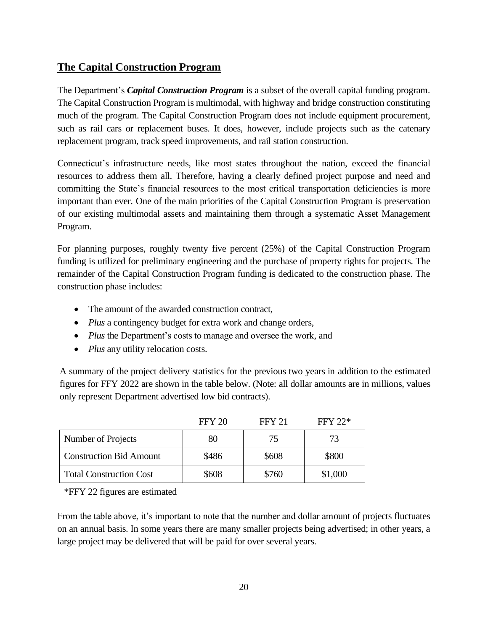## <span id="page-22-0"></span>**The Capital Construction Program**

The Department's *Capital Construction Program* is a subset of the overall capital funding program. The Capital Construction Program is multimodal, with highway and bridge construction constituting much of the program. The Capital Construction Program does not include equipment procurement, such as rail cars or replacement buses. It does, however, include projects such as the catenary replacement program, track speed improvements, and rail station construction.

Connecticut's infrastructure needs, like most states throughout the nation, exceed the financial resources to address them all. Therefore, having a clearly defined project purpose and need and committing the State's financial resources to the most critical transportation deficiencies is more important than ever. One of the main priorities of the Capital Construction Program is preservation of our existing multimodal assets and maintaining them through a systematic Asset Management Program.

For planning purposes, roughly twenty five percent (25%) of the Capital Construction Program funding is utilized for preliminary engineering and the purchase of property rights for projects. The remainder of the Capital Construction Program funding is dedicated to the construction phase. The construction phase includes:

- The amount of the awarded construction contract,
- *Plus* a contingency budget for extra work and change orders,
- *Plus* the Department's costs to manage and oversee the work, and
- *Plus* any utility relocation costs.

A summary of the project delivery statistics for the previous two years in addition to the estimated figures for FFY 2022 are shown in the table below. (Note: all dollar amounts are in millions, values only represent Department advertised low bid contracts).

|                                | <b>FFY 20</b> | <b>FFY 21</b> | $FFY 22*$ |
|--------------------------------|---------------|---------------|-----------|
| Number of Projects             | 80            | 75            | 73        |
| <b>Construction Bid Amount</b> | \$486         | \$608         | \$800     |
| <b>Total Construction Cost</b> | \$608         | \$760         | \$1,000   |

\*FFY 22 figures are estimated

From the table above, it's important to note that the number and dollar amount of projects fluctuates on an annual basis. In some years there are many smaller projects being advertised; in other years, a large project may be delivered that will be paid for over several years.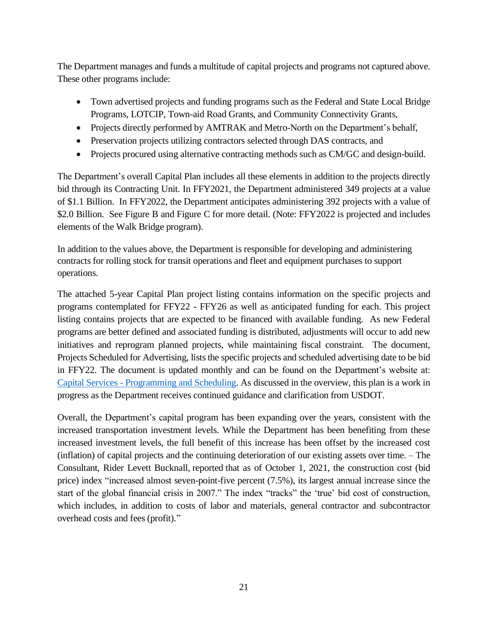The Department manages and funds a multitude of capital projects and programs not captured above. These other programs include:

- Town advertised projects and funding programs such as the Federal and State Local Bridge Programs, LOTCIP, Town-aid Road Grants, and Community Connectivity Grants,
- Projects directly performed by AMTRAK and Metro-North on the Department's behalf,
- Preservation projects utilizing contractors selected through DAS contracts, and
- Projects procured using alternative contracting methods such as CM/GC and design-build.

The Department's overall Capital Plan includes all these elements in addition to the projects directly bid through its Contracting Unit. In FFY2021, the Department administered 349 projects at a value of \$1.1 Billion. In FFY2022, the Department anticipates administering 392 projects with a value of \$2.0 Billion. See Figure B and Figure C for more detail. (Note: FFY2022 is projected and includes elements of the Walk Bridge program).

In addition to the values above, the Department is responsible for developing and administering contracts for rolling stock for transit operations and fleet and equipment purchases to support operations.

The attached 5-year Capital Plan project listing contains information on the specific projects and programs contemplated for FFY22 - FFY26 as well as anticipated funding for each. This project listing contains projects that are expected to be financed with available funding. As new Federal programs are better defined and associated funding is distributed, adjustments will occur to add new initiatives and reprogram planned projects, while maintaining fiscal constraint. The document, Projects Scheduled for Advertising, lists the specific projects and scheduled advertising date to be bid in FFY22. The document is updated monthly and can be found on the Department's website at: [Capital Services -](https://portal.ct.gov/DOT/Department-Bureaus/Finance/Capital-Services---Programming-and-Scheduling) Programming and Scheduling. As discussed in the overview, this plan is a work in progress as the Department receives continued guidance and clarification from USDOT.

Overall, the Department's capital program has been expanding over the years, consistent with the increased transportation investment levels. While the Department has been benefiting from these increased investment levels, the full benefit of this increase has been offset by the increased cost (inflation) of capital projects and the continuing deterioration of our existing assets over time. – The Consultant, Rider Levett Bucknall, [reported](https://s31756.pcdn.co/americas/wp-content/uploads/sites/4/2022/01/Q4-2021-QCR.pdf) that as of October 1, 2021, the construction cost (bid price) index "increased almost seven-point-five percent (7.5%), its largest annual increase since the start of the global financial crisis in 2007." The index "tracks" the 'true' bid cost of construction, which includes, in addition to costs of labor and materials, general contractor and subcontractor overhead costs and fees (profit)."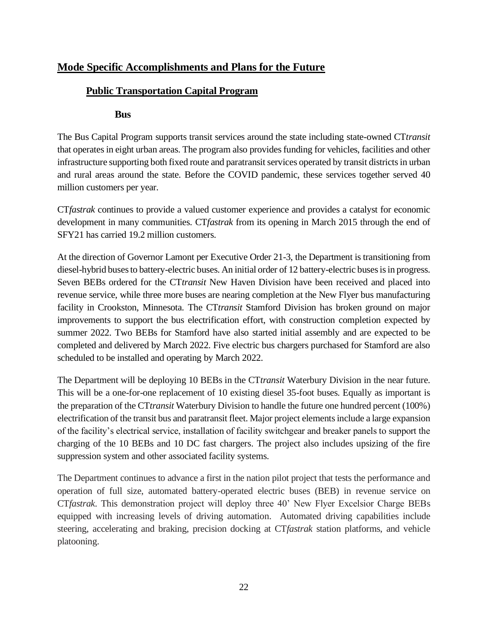## <span id="page-24-1"></span><span id="page-24-0"></span>**Mode Specific Accomplishments and Plans for the Future**

#### **Public Transportation Capital Program**

#### <span id="page-24-2"></span>**Bus**

The Bus Capital Program supports transit services around the state including state-owned CT*transit* that operates in eight urban areas. The program also provides funding for vehicles, facilities and other infrastructure supporting both fixed route and paratransit services operated by transit districts in urban and rural areas around the state. Before the COVID pandemic, these services together served 40 million customers per year.

CT*fastrak* continues to provide a valued customer experience and provides a catalyst for economic development in many communities. CT*fastrak* from its opening in March 2015 through the end of SFY21 has carried 19.2 million customers.

At the direction of Governor Lamont per Executive Order 21-3, the Department is transitioning from diesel-hybrid buses to battery-electric buses. An initial order of 12 battery-electric buses is in progress. Seven BEBs ordered for the CT*transit* New Haven Division have been received and placed into revenue service, while three more buses are nearing completion at the New Flyer bus manufacturing facility in Crookston, Minnesota. The CT*transit* Stamford Division has broken ground on major improvements to support the bus electrification effort, with construction completion expected by summer 2022. Two BEBs for Stamford have also started initial assembly and are expected to be completed and delivered by March 2022. Five electric bus chargers purchased for Stamford are also scheduled to be installed and operating by March 2022.

The Department will be deploying 10 BEBs in the CT*transit* Waterbury Division in the near future. This will be a one-for-one replacement of 10 existing diesel 35-foot buses. Equally as important is the preparation of the CT*transit* Waterbury Division to handle the future one hundred percent (100%) electrification of the transit bus and paratransit fleet. Major project elements include a large expansion of the facility's electrical service, installation of facility switchgear and breaker panels to support the charging of the 10 BEBs and 10 DC fast chargers. The project also includes upsizing of the fire suppression system and other associated facility systems.

The Department continues to advance a first in the nation pilot project that tests the performance and operation of full size, automated battery-operated electric buses (BEB) in revenue service on CT*fastrak*. This demonstration project will deploy three 40' New Flyer Excelsior Charge BEBs equipped with increasing levels of driving automation. Automated driving capabilities include steering, accelerating and braking, precision docking at CT*fastrak* station platforms, and vehicle platooning.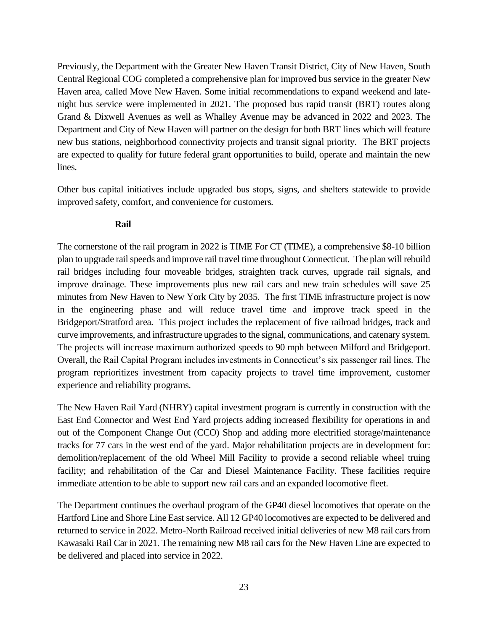Previously, the Department with the Greater New Haven Transit District, City of New Haven, South Central Regional COG completed a comprehensive plan for improved bus service in the greater New Haven area, called Move New Haven. Some initial recommendations to expand weekend and latenight bus service were implemented in 2021. The proposed bus rapid transit (BRT) routes along Grand & Dixwell Avenues as well as Whalley Avenue may be advanced in 2022 and 2023. The Department and City of New Haven will partner on the design for both BRT lines which will feature new bus stations, neighborhood connectivity projects and transit signal priority. The BRT projects are expected to qualify for future federal grant opportunities to build, operate and maintain the new lines.

Other bus capital initiatives include upgraded bus stops, signs, and shelters statewide to provide improved safety, comfort, and convenience for customers.

#### **Rail**

<span id="page-25-0"></span>The cornerstone of the rail program in 2022 is TIME For CT (TIME), a comprehensive \$8-10 billion plan to upgrade rail speeds and improve rail travel time throughout Connecticut. The plan will rebuild rail bridges including four moveable bridges, straighten track curves, upgrade rail signals, and improve drainage. These improvements plus new rail cars and new train schedules will save 25 minutes from New Haven to New York City by 2035. The first TIME infrastructure project is now in the engineering phase and will reduce travel time and improve track speed in the Bridgeport/Stratford area. This project includes the replacement of five railroad bridges, track and curve improvements, and infrastructure upgrades to the signal, communications, and catenary system. The projects will increase maximum authorized speeds to 90 mph between Milford and Bridgeport. Overall, the Rail Capital Program includes investments in Connecticut's six passenger rail lines. The program reprioritizes investment from capacity projects to travel time improvement, customer experience and reliability programs.

The New Haven Rail Yard (NHRY) capital investment program is currently in construction with the East End Connector and West End Yard projects adding increased flexibility for operations in and out of the Component Change Out (CCO) Shop and adding more electrified storage/maintenance tracks for 77 cars in the west end of the yard. Major rehabilitation projects are in development for: demolition/replacement of the old Wheel Mill Facility to provide a second reliable wheel truing facility; and rehabilitation of the Car and Diesel Maintenance Facility. These facilities require immediate attention to be able to support new rail cars and an expanded locomotive fleet.

The Department continues the overhaul program of the GP40 diesel locomotives that operate on the Hartford Line and Shore Line East service. All 12 GP40 locomotives are expected to be delivered and returned to service in 2022. Metro-North Railroad received initial deliveries of new M8 rail cars from Kawasaki Rail Car in 2021. The remaining new M8 rail cars for the New Haven Line are expected to be delivered and placed into service in 2022.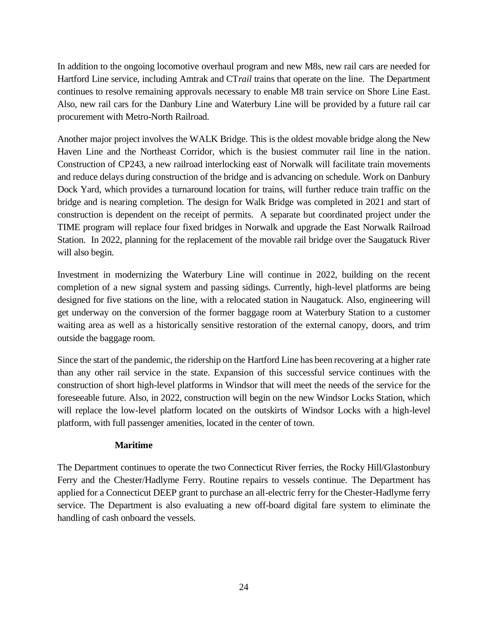In addition to the ongoing locomotive overhaul program and new M8s, new rail cars are needed for Hartford Line service, including Amtrak and CT*rail* trains that operate on the line. The Department continues to resolve remaining approvals necessary to enable M8 train service on Shore Line East. Also, new rail cars for the Danbury Line and Waterbury Line will be provided by a future rail car procurement with Metro-North Railroad.

Another major project involves the WALK Bridge. This is the oldest movable bridge along the New Haven Line and the Northeast Corridor, which is the busiest commuter rail line in the nation. Construction of CP243, a new railroad interlocking east of Norwalk will facilitate train movements and reduce delays during construction of the bridge and is advancing on schedule. Work on Danbury Dock Yard, which provides a turnaround location for trains, will further reduce train traffic on the bridge and is nearing completion. The design for Walk Bridge was completed in 2021 and start of construction is dependent on the receipt of permits. A separate but coordinated project under the TIME program will replace four fixed bridges in Norwalk and upgrade the East Norwalk Railroad Station. In 2022, planning for the replacement of the movable rail bridge over the Saugatuck River will also begin.

Investment in modernizing the Waterbury Line will continue in 2022, building on the recent completion of a new signal system and passing sidings. Currently, high-level platforms are being designed for five stations on the line, with a relocated station in Naugatuck. Also, engineering will get underway on the conversion of the former baggage room at Waterbury Station to a customer waiting area as well as a historically sensitive restoration of the external canopy, doors, and trim outside the baggage room.

Since the start of the pandemic, the ridership on the Hartford Line has been recovering at a higher rate than any other rail service in the state. Expansion of this successful service continues with the construction of short high-level platforms in Windsor that will meet the needs of the service for the foreseeable future. Also, in 2022, construction will begin on the new Windsor Locks Station, which will replace the low-level platform located on the outskirts of Windsor Locks with a high-level platform, with full passenger amenities, located in the center of town.

#### **Maritime**

<span id="page-26-0"></span>The Department continues to operate the two Connecticut River ferries, the Rocky Hill/Glastonbury Ferry and the Chester/Hadlyme Ferry. Routine repairs to vessels continue. The Department has applied for a Connecticut DEEP grant to purchase an all-electric ferry for the Chester-Hadlyme ferry service. The Department is also evaluating a new off-board digital fare system to eliminate the handling of cash onboard the vessels.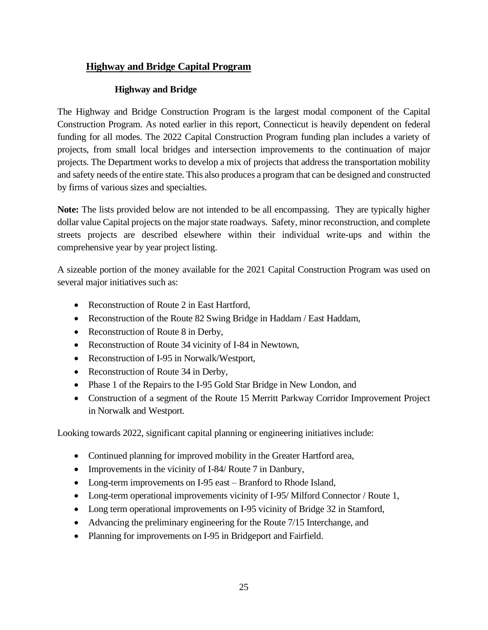#### <span id="page-27-0"></span>**Highway and Bridge Capital Program**

#### **Highway and Bridge**

<span id="page-27-1"></span>The Highway and Bridge Construction Program is the largest modal component of the Capital Construction Program. As noted earlier in this report, Connecticut is heavily dependent on federal funding for all modes. The 2022 Capital Construction Program funding plan includes a variety of projects, from small local bridges and intersection improvements to the continuation of major projects. The Department works to develop a mix of projects that address the transportation mobility and safety needs of the entire state. This also produces a program that can be designed and constructed by firms of various sizes and specialties.

**Note:** The lists provided below are not intended to be all encompassing. They are typically higher dollar value Capital projects on the major state roadways. Safety, minor reconstruction, and complete streets projects are described elsewhere within their individual write-ups and within the comprehensive year by year project listing.

A sizeable portion of the money available for the 2021 Capital Construction Program was used on several major initiatives such as:

- Reconstruction of Route 2 in East Hartford,
- Reconstruction of the Route 82 Swing Bridge in Haddam / East Haddam,
- Reconstruction of Route 8 in Derby,
- Reconstruction of Route 34 vicinity of I-84 in Newtown,
- Reconstruction of I-95 in Norwalk/Westport,
- Reconstruction of Route 34 in Derby,
- Phase 1 of the Repairs to the I-95 Gold Star Bridge in New London, and
- Construction of a segment of the Route 15 Merritt Parkway Corridor Improvement Project in Norwalk and Westport.

Looking towards 2022, significant capital planning or engineering initiatives include:

- Continued planning for improved mobility in the Greater Hartford area,
- Improvements in the vicinity of I-84/ Route 7 in Danbury,
- Long-term improvements on I-95 east Branford to Rhode Island,
- Long-term operational improvements vicinity of I-95/Milford Connector / Route 1,
- Long term operational improvements on I-95 vicinity of Bridge 32 in Stamford,
- Advancing the preliminary engineering for the Route 7/15 Interchange, and
- Planning for improvements on I-95 in Bridgeport and Fairfield.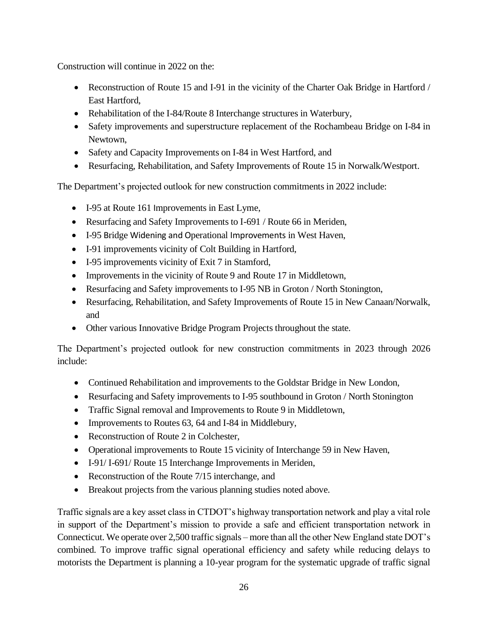Construction will continue in 2022 on the:

- Reconstruction of Route 15 and I-91 in the vicinity of the Charter Oak Bridge in Hartford / East Hartford,
- Rehabilitation of the I-84/Route 8 Interchange structures in Waterbury,
- Safety improvements and superstructure replacement of the Rochambeau Bridge on I-84 in Newtown,
- Safety and Capacity Improvements on I-84 in West Hartford, and
- Resurfacing, Rehabilitation, and Safety Improvements of Route 15 in Norwalk/Westport.

The Department's projected outlook for new construction commitments in 2022 include:

- I-95 at Route 161 Improvements in East Lyme,
- Resurfacing and Safety Improvements to I-691 / Route 66 in Meriden,
- I-95 Bridge Widening and Operational Improvements in West Haven,
- I-91 improvements vicinity of Colt Building in Hartford,
- I-95 improvements vicinity of Exit 7 in Stamford,
- Improvements in the vicinity of Route 9 and Route 17 in Middletown,
- Resurfacing and Safety improvements to I-95 NB in Groton / North Stonington,
- Resurfacing, Rehabilitation, and Safety Improvements of Route 15 in New Canaan/Norwalk, and
- Other various Innovative Bridge Program Projects throughout the state.

The Department's projected outlook for new construction commitments in 2023 through 2026 include:

- Continued Rehabilitation and improvements to the Goldstar Bridge in New London,
- Resurfacing and Safety improvements to I-95 southbound in Groton / North Stonington
- Traffic Signal removal and Improvements to Route 9 in Middletown,
- Improvements to Routes 63, 64 and I-84 in Middlebury,
- Reconstruction of Route 2 in Colchester,
- Operational improvements to Route 15 vicinity of Interchange 59 in New Haven,
- I-91/I-691/ Route 15 Interchange Improvements in Meriden,
- Reconstruction of the Route 7/15 interchange, and
- Breakout projects from the various planning studies noted above.

Traffic signals are a key asset class in CTDOT's highway transportation network and play a vital role in support of the Department's mission to provide a safe and efficient transportation network in Connecticut. We operate over 2,500 traffic signals – more than all the other New England state DOT's combined. To improve traffic signal operational efficiency and safety while reducing delays to motorists the Department is planning a 10-year program for the systematic upgrade of traffic signal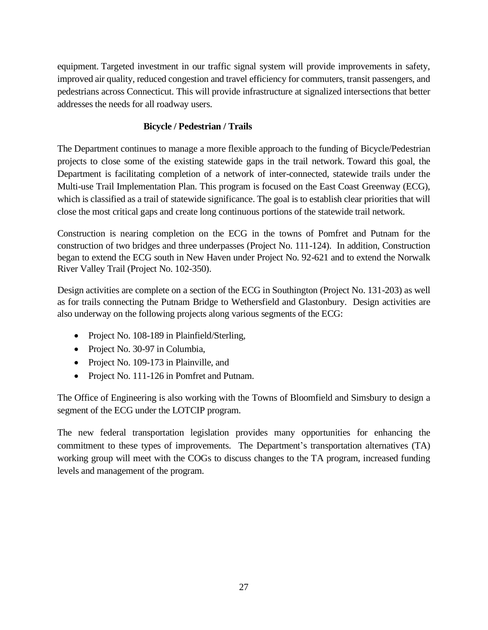equipment. Targeted investment in our traffic signal system will provide improvements in safety, improved air quality, reduced congestion and travel efficiency for commuters, transit passengers, and pedestrians across Connecticut. This will provide infrastructure at signalized intersections that better addresses the needs for all roadway users.

#### **Bicycle / Pedestrian / Trails**

<span id="page-29-0"></span>The Department continues to manage a more flexible approach to the funding of Bicycle/Pedestrian projects to close some of the existing statewide gaps in the trail network. Toward this goal, the Department is facilitating completion of a network of inter-connected, statewide trails under the Multi-use Trail Implementation Plan. This program is focused on the East Coast Greenway (ECG), which is classified as a trail of statewide significance. The goal is to establish clear priorities that will close the most critical gaps and create long continuous portions of the statewide trail network.

Construction is nearing completion on the ECG in the towns of Pomfret and Putnam for the construction of two bridges and three underpasses (Project No. 111-124). In addition, Construction began to extend the ECG south in New Haven under Project No. 92-621 and to extend the Norwalk River Valley Trail (Project No. 102-350).

Design activities are complete on a section of the ECG in Southington (Project No. 131-203) as well as for trails connecting the Putnam Bridge to Wethersfield and Glastonbury. Design activities are also underway on the following projects along various segments of the ECG:

- Project No. 108-189 in Plainfield/Sterling,
- Project No. 30-97 in Columbia,
- Project No. 109-173 in Plainville, and
- Project No. 111-126 in Pomfret and Putnam.

The Office of Engineering is also working with the Towns of Bloomfield and Simsbury to design a segment of the ECG under the LOTCIP program.

The new federal transportation legislation provides many opportunities for enhancing the commitment to these types of improvements. The Department's transportation alternatives (TA) working group will meet with the COGs to discuss changes to the TA program, increased funding levels and management of the program.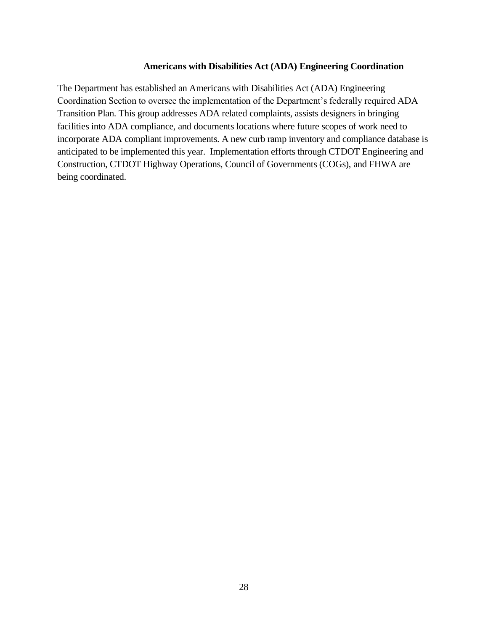#### **Americans with Disabilities Act (ADA) Engineering Coordination**

<span id="page-30-0"></span>The Department has established an Americans with Disabilities Act (ADA) Engineering Coordination Section to oversee the implementation of the Department's federally required ADA Transition Plan. This group addresses ADA related complaints, assists designers in bringing facilities into ADA compliance, and documents locations where future scopes of work need to incorporate ADA compliant improvements. A new curb ramp inventory and compliance database is anticipated to be implemented this year. Implementation efforts through CTDOT Engineering and Construction, CTDOT Highway Operations, Council of Governments (COGs), and FHWA are being coordinated.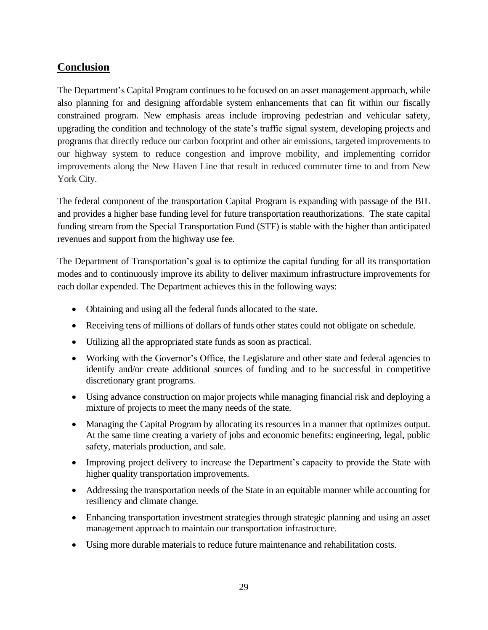## <span id="page-31-0"></span>**Conclusion**

The Department's Capital Program continues to be focused on an asset management approach, while also planning for and designing affordable system enhancements that can fit within our fiscally constrained program. New emphasis areas include improving pedestrian and vehicular safety, upgrading the condition and technology of the state's traffic signal system, developing projects and programs that directly reduce our carbon footprint and other air emissions, targeted improvements to our highway system to reduce congestion and improve mobility, and implementing corridor improvements along the New Haven Line that result in reduced commuter time to and from New York City.

The federal component of the transportation Capital Program is expanding with passage of the BIL and provides a higher base funding level for future transportation reauthorizations. The state capital funding stream from the Special Transportation Fund (STF) is stable with the higher than anticipated revenues and support from the highway use fee.

The Department of Transportation's goal is to optimize the capital funding for all its transportation modes and to continuously improve its ability to deliver maximum infrastructure improvements for each dollar expended. The Department achieves this in the following ways:

- Obtaining and using all the federal funds allocated to the state.
- Receiving tens of millions of dollars of funds other states could not obligate on schedule.
- Utilizing all the appropriated state funds as soon as practical.
- Working with the Governor's Office, the Legislature and other state and federal agencies to identify and/or create additional sources of funding and to be successful in competitive discretionary grant programs.
- Using advance construction on major projects while managing financial risk and deploying a mixture of projects to meet the many needs of the state.
- Managing the Capital Program by allocating its resources in a manner that optimizes output. At the same time creating a variety of jobs and economic benefits: engineering, legal, public safety, materials production, and sale.
- Improving project delivery to increase the Department's capacity to provide the State with higher quality transportation improvements.
- Addressing the transportation needs of the State in an equitable manner while accounting for resiliency and climate change.
- Enhancing transportation investment strategies through strategic planning and using an asset management approach to maintain our transportation infrastructure.
- Using more durable materials to reduce future maintenance and rehabilitation costs.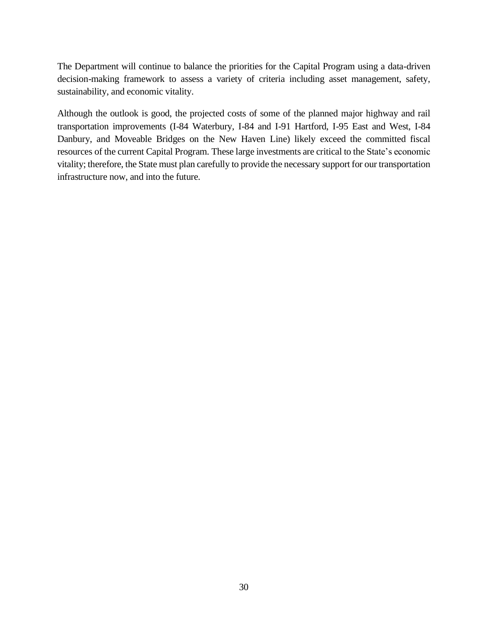The Department will continue to balance the priorities for the Capital Program using a data-driven decision-making framework to assess a variety of criteria including asset management, safety, sustainability, and economic vitality.

Although the outlook is good, the projected costs of some of the planned major highway and rail transportation improvements (I-84 Waterbury, I-84 and I-91 Hartford, I-95 East and West, I-84 Danbury, and Moveable Bridges on the New Haven Line) likely exceed the committed fiscal resources of the current Capital Program. These large investments are critical to the State's economic vitality; therefore, the State must plan carefully to provide the necessary support for our transportation infrastructure now, and into the future.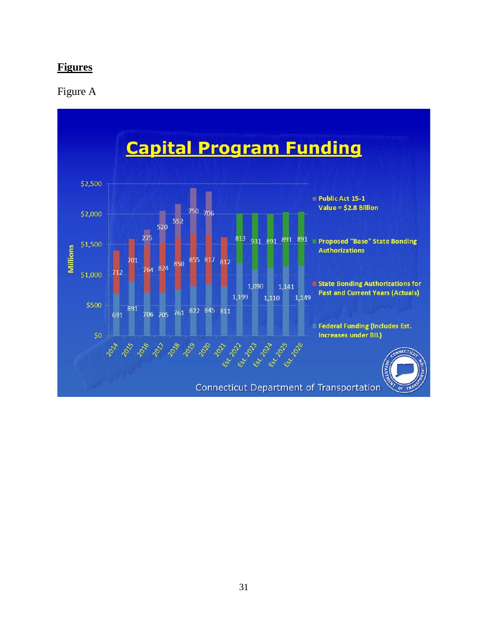## <span id="page-33-0"></span>**Figures**

## Figure A

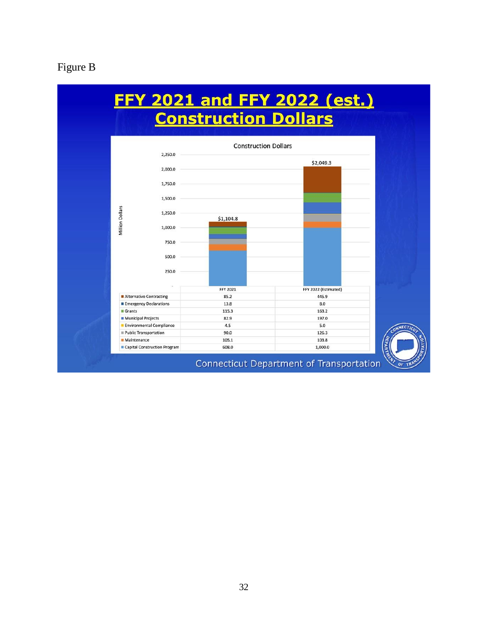## Figure B